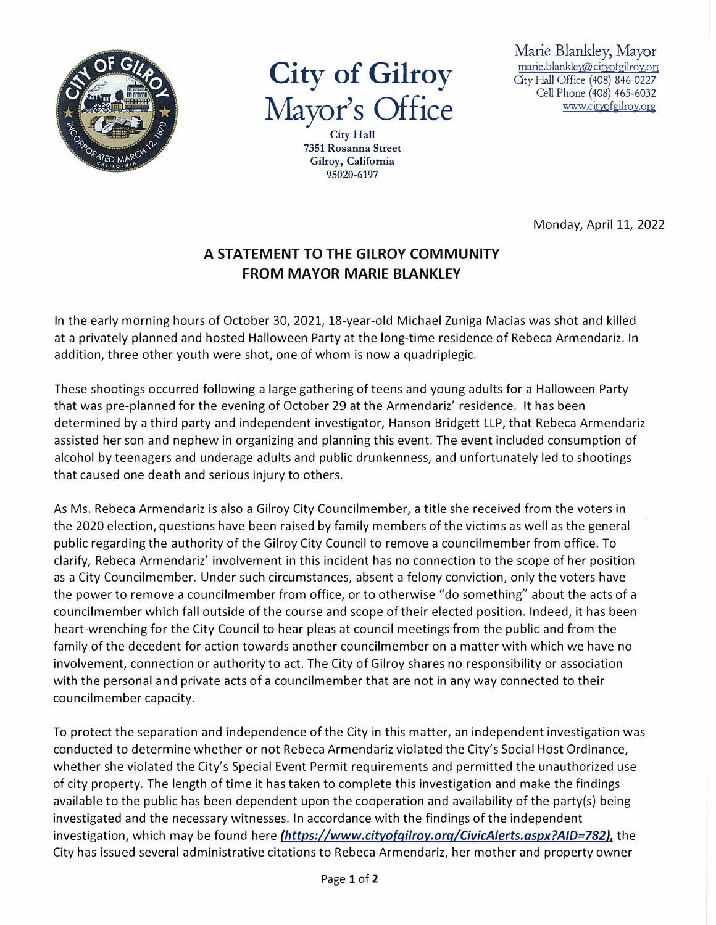

## **City of Gilroy Mayor's Office**

**City Hall 7351 Rosanna Street Gilroy, California 95020-6197** 

Marie Blankley, Mayor marie.blankley@cityofgilroy.org Gty Hall Office (408) 846-0227 Cell Phone (408) 465-6032 www.cityofgilroy.org

Monday, April 11, 2022

## **A STATEMENT TO THE GILROY COMMUNITY FROM MAYOR MARIE BLANKLEY**

In the early morning hours of October 30, 2021, 18-year-old Michael Zuniga Macias was shot and killed at a privately planned and hosted Halloween Party at the long-time residence of Rebeca Armendariz. In addition, three other youth were shot, one of whom is now a quadriplegic.

These shootings occurred following a large gathering of teens and young adults for a Halloween Party that was pre-planned for the evening of October 29 at the Armendariz' residence. It has been determined by a third party and independent investigator, Hanson Bridgett LLP, that Rebeca Armendariz assisted her son and nephew in organizing and planning this event. The event included consumption of alcohol by teenagers and underage adults and public drunkenness, and unfortunately led to shootings that caused one death and serious injury to others.

As Ms. Rebeca Armendariz is also a Gilroy City Councilmember, a title she received from the voters in the 2020 election, questions have been raised by family members of the victims as well as the general public regarding the authority of the Gilroy City Council to remove a councilmember from office. To clarify, Rebeca Armendariz' involvement in this incident has no connection to the scope of her position as a City Councilmember. Under such circumstances, absent a felony conviction, only the voters have the power to remove a councilmember from office, or to otherwise "do something" about the acts of a councilmember which fall outside of the course and scope of their elected position. Indeed, it has been heart-wrenching for the City Council to hear pleas at council meetings from the public and from the family of the decedent for action towards another councilmember on a matter with which we have no involvement, connection or authority to act. The City of Gilroy shares no responsibility or association with the personal and private acts of a councilmember that are not in any way connected to their councilmember capacity.

To protect the separation and independence of the City in this matter, an independent investigation was conducted to determine whether or not Rebeca Armendariz violated the City's Social Host Ordinance, whether she violated the City's Special Event Permit requirements and permitted the unauthorized use of city property. The length of time it has taken to complete this investigation and make the findings available to the public has been dependent upon the cooperation and availability of the party(s) being investigated and the necessary witnesses. In accordance with the findings of the independent investigation, which may be found here *[\(https://www.cityofqilroy.orq/CivicAlerts.aspx?AID=782},](http://www.cityofgilroy.org/CivicAlerts.aspx?AID=782)* the City has issued several administrative citations to Rebeca Armendariz, her mother and property owner